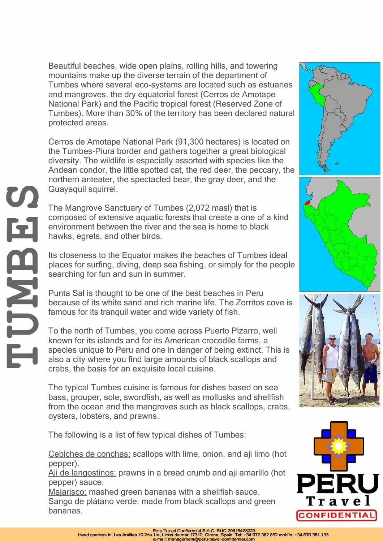Beautiful beaches, wide open plains, rolling hills, and towering mountains make up the diverse terrain of the department of Tumbes where several eco-systems are located such as estuaries and mangroves, the dry equatorial forest (Cerros de Amotape National Park) and the Pacific tropical forest (Reserved Zone of Tumbes). More than 30% of the territory has been declared natural protected areas.

Cerros de Amotape National Park (91,300 hectares) is located on the Tumbes-Piura border and gathers together a great biological diversity. The wildlife is especially assorted with species like the Andean condor, the little spotted cat, the red deer, the peccary, the northern anteater, the spectacled bear, the gray deer, and the Guayaquil squirrel.

The Mangrove Sanctuary of Tumbes (2,072 masl) that is composed of extensive aquatic forests that create a one of a kind environment between the river and the sea is home to black hawks, egrets, and other birds.

Its closeness to the Equator makes the beaches of Tumbes ideal places for surfing, diving, deep sea fishing, or simply for the people searching for fun and sun in summer.

Punta Sal is thought to be one of the best beaches in Peru because of its white sand and rich marine life. The Zorritos cove is famous for its tranquil water and wide variety of fish.

To the north of Tumbes, you come across Puerto Pizarro, well known for its islands and for its American crocodile farms, a species unique to Peru and one in danger of being extinct. This is also a city where you find large amounts of black scallops and crabs, the basis for an exquisite local cuisine.

The typical Tumbes cuisine is famous for dishes based on sea bass, grouper, sole, swordfish, as well as mollusks and shellfish from the ocean and the mangroves such as black scallops, crabs, oysters, lobsters, and prawns.

The following is a list of few typical dishes of Tumbes:

Cebiches de conchas: scallops with lime, onion, and aji limo (hot pepper).

Aji de langostinos: prawns in a bread crumb and aji amarillo (hot pepper) sauce.

Majarisco: mashed green bananas with a shellfish sauce. Sango de plátano verde: made from black scallops and green bananas.